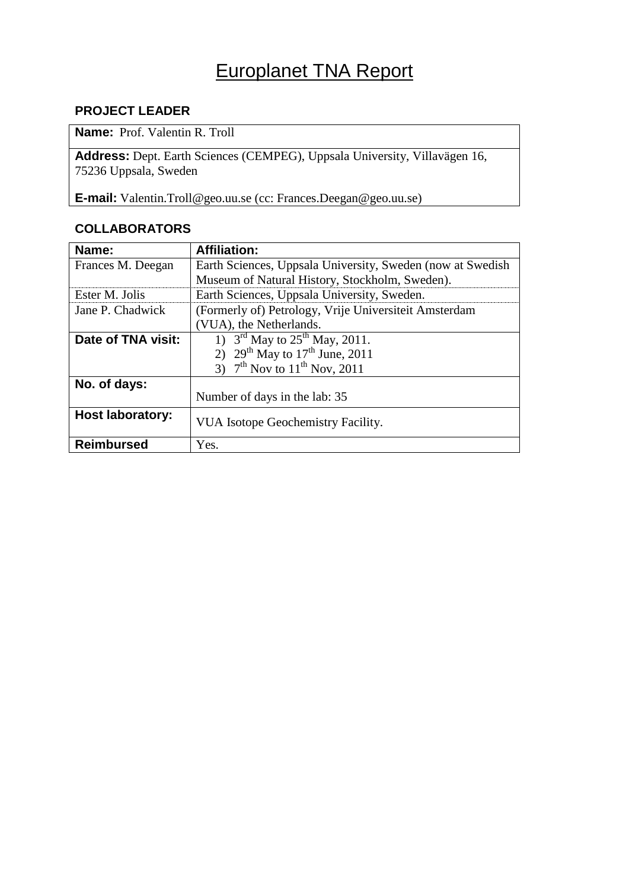# Europlanet TNA Report

## **PROJECT LEADER**

**Name:** Prof. Valentin R. Troll

**Address:** Dept. Earth Sciences (CEMPEG), Uppsala University, Villavägen 16, 75236 Uppsala, Sweden

**E-mail:** Valentin.Troll@geo.uu.se (cc: Frances.Deegan@geo.uu.se)

## **COLLABORATORS**

| Name:                   | <b>Affiliation:</b>                                        |
|-------------------------|------------------------------------------------------------|
| Frances M. Deegan       | Earth Sciences, Uppsala University, Sweden (now at Swedish |
|                         | Museum of Natural History, Stockholm, Sweden).             |
| Ester M. Jolis          | Earth Sciences, Uppsala University, Sweden.                |
| Jane P. Chadwick        | (Formerly of) Petrology, Vrije Universiteit Amsterdam      |
|                         | (VUA), the Netherlands.                                    |
| Date of TNA visit:      | 1) $3^{\text{rd}}$ May to $25^{\text{th}}$ May, 2011.      |
|                         | 2) $29^{th}$ May to $17^{th}$ June, 2011                   |
|                         | 3) $7^{th}$ Nov to $11^{th}$ Nov, 2011                     |
| No. of days:            |                                                            |
|                         | Number of days in the lab: 35                              |
| <b>Host laboratory:</b> | VUA Isotope Geochemistry Facility.                         |
| <b>Reimbursed</b>       | Yes.                                                       |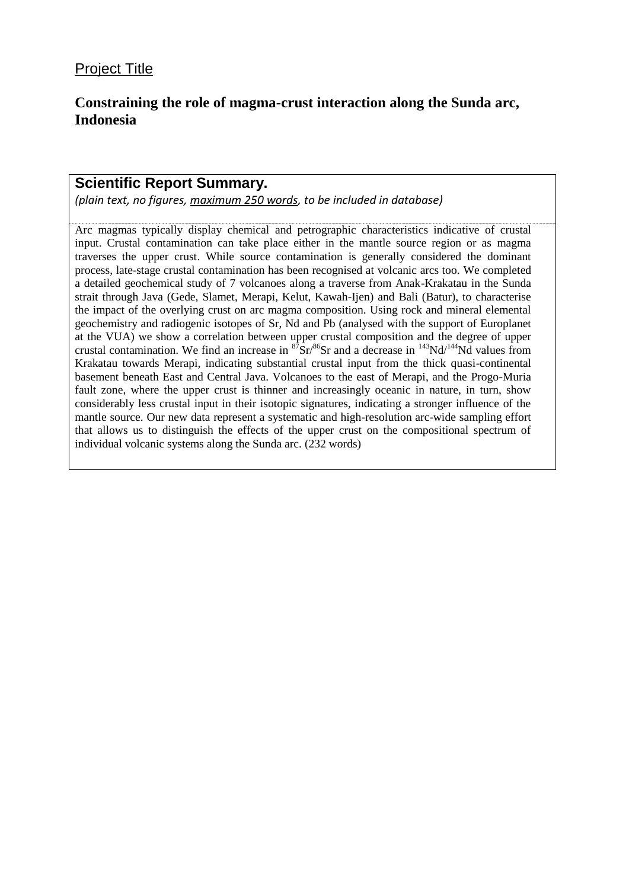## **Constraining the role of magma-crust interaction along the Sunda arc, Indonesia**

## **Scientific Report Summary.**

*(plain text, no figures, maximum 250 words, to be included in database)*

Arc magmas typically display chemical and petrographic characteristics indicative of crustal input. Crustal contamination can take place either in the mantle source region or as magma traverses the upper crust. While source contamination is generally considered the dominant process, late-stage crustal contamination has been recognised at volcanic arcs too. We completed a detailed geochemical study of 7 volcanoes along a traverse from Anak-Krakatau in the Sunda strait through Java (Gede, Slamet, Merapi, Kelut, Kawah-Ijen) and Bali (Batur), to characterise the impact of the overlying crust on arc magma composition. Using rock and mineral elemental geochemistry and radiogenic isotopes of Sr, Nd and Pb (analysed with the support of Europlanet at the VUA) we show a correlation between upper crustal composition and the degree of upper crustal contamination. We find an increase in  ${}^{87}Sr/{}^{86}Sr$  and a decrease in  ${}^{143}Nd/{}^{144}Nd$  values from Krakatau towards Merapi, indicating substantial crustal input from the thick quasi-continental basement beneath East and Central Java. Volcanoes to the east of Merapi, and the Progo-Muria fault zone, where the upper crust is thinner and increasingly oceanic in nature, in turn, show considerably less crustal input in their isotopic signatures, indicating a stronger influence of the mantle source. Our new data represent a systematic and high-resolution arc-wide sampling effort that allows us to distinguish the effects of the upper crust on the compositional spectrum of individual volcanic systems along the Sunda arc. (232 words)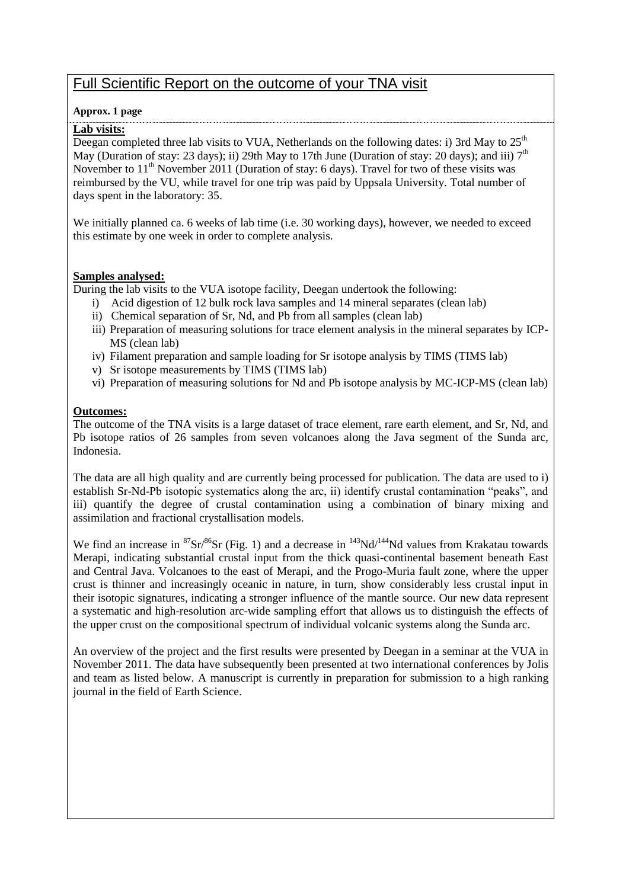# Full Scientific Report on the outcome of your TNA visit

#### **Approx. 1 page**

#### **Lab visits:**

Deegan completed three lab visits to VUA, Netherlands on the following dates: i) 3rd May to  $25<sup>th</sup>$ May (Duration of stay: 23 days); ii) 29th May to 17th June (Duration of stay: 20 days); and iii)  $7<sup>th</sup>$ November to  $11<sup>th</sup>$  November 2011 (Duration of stay: 6 days). Travel for two of these visits was reimbursed by the VU, while travel for one trip was paid by Uppsala University. Total number of days spent in the laboratory: 35.

We initially planned ca. 6 weeks of lab time (i.e. 30 working days), however, we needed to exceed this estimate by one week in order to complete analysis.

#### **Samples analysed:**

During the lab visits to the VUA isotope facility, Deegan undertook the following:

- i) Acid digestion of 12 bulk rock lava samples and 14 mineral separates (clean lab)
- ii) Chemical separation of Sr, Nd, and Pb from all samples (clean lab)
- iii) Preparation of measuring solutions for trace element analysis in the mineral separates by ICP-MS (clean lab)
- iv) Filament preparation and sample loading for Sr isotope analysis by TIMS (TIMS lab)
- v) Sr isotope measurements by TIMS (TIMS lab)
- vi) Preparation of measuring solutions for Nd and Pb isotope analysis by MC-ICP-MS (clean lab)

#### **Outcomes:**

The outcome of the TNA visits is a large dataset of trace element, rare earth element, and Sr, Nd, and Pb isotope ratios of 26 samples from seven volcanoes along the Java segment of the Sunda arc, Indonesia.

The data are all high quality and are currently being processed for publication. The data are used to i) establish Sr-Nd-Pb isotopic systematics along the arc, ii) identify crustal contamination "peaks", and iii) quantify the degree of crustal contamination using a combination of binary mixing and assimilation and fractional crystallisation models.

We find an increase in  ${}^{87}Sr/{}^{86}Sr$  (Fig. 1) and a decrease in  ${}^{143}Nd/{}^{144}Nd$  values from Krakatau towards Merapi, indicating substantial crustal input from the thick quasi-continental basement beneath East and Central Java. Volcanoes to the east of Merapi, and the Progo-Muria fault zone, where the upper crust is thinner and increasingly oceanic in nature, in turn, show considerably less crustal input in their isotopic signatures, indicating a stronger influence of the mantle source. Our new data represent a systematic and high-resolution arc-wide sampling effort that allows us to distinguish the effects of the upper crust on the compositional spectrum of individual volcanic systems along the Sunda arc.

An overview of the project and the first results were presented by Deegan in a seminar at the VUA in November 2011. The data have subsequently been presented at two international conferences by Jolis and team as listed below. A manuscript is currently in preparation for submission to a high ranking journal in the field of Earth Science.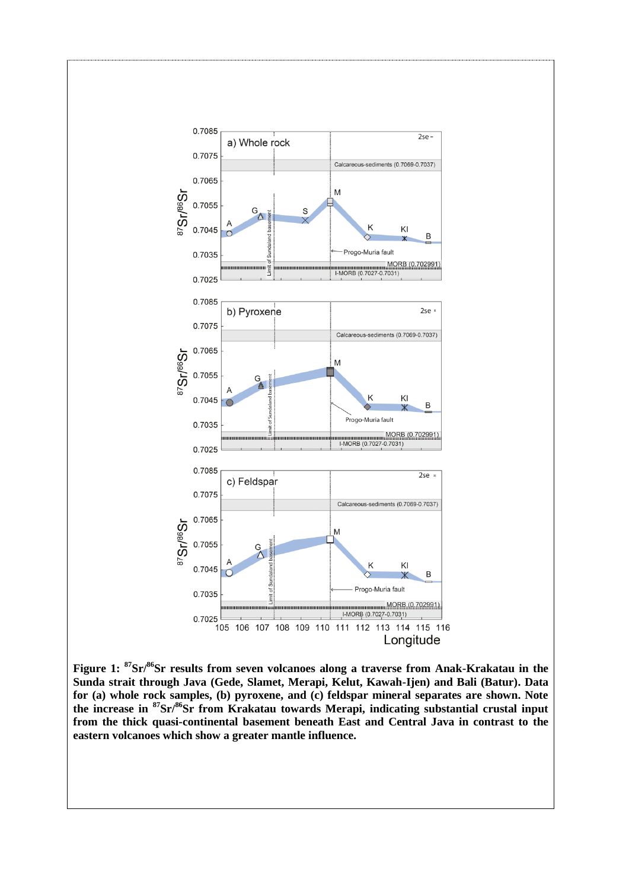

**Figure 1: <sup>87</sup>Sr/<sup>86</sup>Sr results from seven volcanoes along a traverse from Anak-Krakatau in the Sunda strait through Java (Gede, Slamet, Merapi, Kelut, Kawah-Ijen) and Bali (Batur). Data for (a) whole rock samples, (b) pyroxene, and (c) feldspar mineral separates are shown. Note the increase in <sup>87</sup>Sr/<sup>86</sup>Sr from Krakatau towards Merapi, indicating substantial crustal input from the thick quasi-continental basement beneath East and Central Java in contrast to the eastern volcanoes which show a greater mantle influence.**